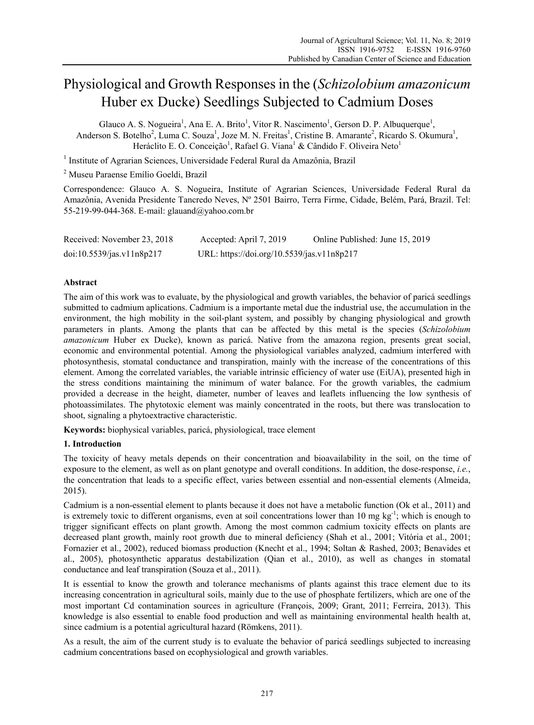# Physiological and Growth Responses in the (*Schizolobium amazonicum* Huber ex Ducke) Seedlings Subjected to Cadmium Doses

Glauco A. S. Nogueira<sup>1</sup>, Ana E. A. Brito<sup>1</sup>, Vitor R. Nascimento<sup>1</sup>, Gerson D. P. Albuquerque<sup>1</sup>, Anderson S. Botelho<sup>2</sup>, Luma C. Souza<sup>1</sup>, Joze M. N. Freitas<sup>1</sup>, Cristine B. Amarante<sup>2</sup>, Ricardo S. Okumura<sup>1</sup>, Heráclito E. O. Conceição<sup>1</sup>, Rafael G. Viana<sup>1</sup> & Cândido F. Oliveira Neto<sup>1</sup>

<sup>1</sup> Institute of Agrarian Sciences, Universidade Federal Rural da Amazônia, Brazil

2 Museu Paraense Emílio Goeldi, Brazil

Correspondence: Glauco A. S. Nogueira, Institute of Agrarian Sciences, Universidade Federal Rural da Amazônia, Avenida Presidente Tancredo Neves, Nº 2501 Bairro, Terra Firme, Cidade, Belém, Pará, Brazil. Tel: 55-219-99-044-368. E-mail: glauand@yahoo.com.br

| Received: November 23, 2018 | Accepted: April 7, 2019                    | Online Published: June 15, 2019 |
|-----------------------------|--------------------------------------------|---------------------------------|
| doi:10.5539/jas.v11n8p217   | URL: https://doi.org/10.5539/jas.v11n8p217 |                                 |

#### **Abstract**

The aim of this work was to evaluate, by the physiological and growth variables, the behavior of paricá seedlings submitted to cadmium aplications. Cadmium is a importante metal due the industrial use, the accumulation in the environment, the high mobility in the soil-plant system, and possibly by changing physiological and growth parameters in plants. Among the plants that can be affected by this metal is the species (*Schizolobium amazonicum* Huber ex Ducke), known as paricá. Native from the amazona region, presents great social, economic and environmental potential. Among the physiological variables analyzed, cadmium interfered with photosynthesis, stomatal conductance and transpiration, mainly with the increase of the concentrations of this element. Among the correlated variables, the variable intrinsic efficiency of water use (EiUA), presented high in the stress conditions maintaining the minimum of water balance. For the growth variables, the cadmium provided a decrease in the height, diameter, number of leaves and leaflets influencing the low synthesis of photoassimilates. The phytotoxic element was mainly concentrated in the roots, but there was translocation to shoot, signaling a phytoextractive characteristic.

**Keywords:** biophysical variables, paricá, physiological, trace element

#### **1. Introduction**

The toxicity of heavy metals depends on their concentration and bioavailability in the soil, on the time of exposure to the element, as well as on plant genotype and overall conditions. In addition, the dose-response, *i.e.*, the concentration that leads to a specific effect, varies between essential and non-essential elements (Almeida, 2015).

Cadmium is a non-essential element to plants because it does not have a metabolic function (Ok et al., 2011) and is extremely toxic to different organisms, even at soil concentrations lower than 10 mg kg<sup>-1</sup>; which is enough to trigger significant effects on plant growth. Among the most common cadmium toxicity effects on plants are decreased plant growth, mainly root growth due to mineral deficiency (Shah et al., 2001; Vitória et al., 2001; Fornazier et al., 2002), reduced biomass production (Knecht et al., 1994; Soltan & Rashed, 2003; Benavides et al., 2005), photosynthetic apparatus destabilization (Qian et al., 2010), as well as changes in stomatal conductance and leaf transpiration (Souza et al., 2011).

It is essential to know the growth and tolerance mechanisms of plants against this trace element due to its increasing concentration in agricultural soils, mainly due to the use of phosphate fertilizers, which are one of the most important Cd contamination sources in agriculture (François, 2009; Grant, 2011; Ferreira, 2013). This knowledge is also essential to enable food production and well as maintaining environmental health health at, since cadmium is a potential agricultural hazard (Römkens, 2011).

As a result, the aim of the current study is to evaluate the behavior of paricá seedlings subjected to increasing cadmium concentrations based on ecophysiological and growth variables.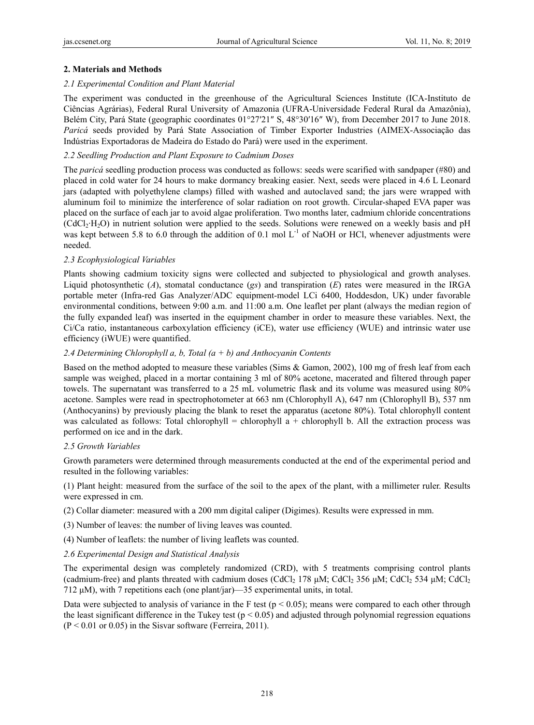## **2. Materials and Methods**

### *2.1 Experimental Condition and Plant Material*

The experiment was conducted in the greenhouse of the Agricultural Sciences Institute (ICA-Instituto de Ciências Agrárias), Federal Rural University of Amazonia (UFRA-Universidade Federal Rural da Amazônia), Belém City, Pará State (geographic coordinates 01°27′21″ S, 48°30′16″ W), from December 2017 to June 2018. *Paricá* seeds provided by Pará State Association of Timber Exporter Industries (AIMEX-Associação das Indústrias Exportadoras de Madeira do Estado do Pará) were used in the experiment.

## *2.2 Seedling Production and Plant Exposure to Cadmium Doses*

The *paricá* seedling production process was conducted as follows: seeds were scarified with sandpaper (#80) and placed in cold water for 24 hours to make dormancy breaking easier. Next, seeds were placed in 4.6 L Leonard jars (adapted with polyethylene clamps) filled with washed and autoclaved sand; the jars were wrapped with aluminum foil to minimize the interference of solar radiation on root growth. Circular-shaped EVA paper was placed on the surface of each jar to avoid algae proliferation. Two months later, cadmium chloride concentrations (CdCl2·H2O) in nutrient solution were applied to the seeds. Solutions were renewed on a weekly basis and pH was kept between 5.8 to 6.0 through the addition of 0.1 mol L<sup>-1</sup> of NaOH or HCl, whenever adjustments were needed.

## *2.3 Ecophysiological Variables*

Plants showing cadmium toxicity signs were collected and subjected to physiological and growth analyses. Liquid photosynthetic (*A*), stomatal conductance (*gs*) and transpiration (*E*) rates were measured in the IRGA portable meter (Infra-red Gas Analyzer/ADC equipment-model LCi 6400, Hoddesdon, UK) under favorable environmental conditions, between 9:00 a.m. and 11:00 a.m. One leaflet per plant (always the median region of the fully expanded leaf) was inserted in the equipment chamber in order to measure these variables. Next, the Ci/Ca ratio, instantaneous carboxylation efficiency (iCE), water use efficiency (WUE) and intrinsic water use efficiency (iWUE) were quantified.

## *2.4 Determining Chlorophyll a, b, Total (a + b) and Anthocyanin Contents*

Based on the method adopted to measure these variables (Sims & Gamon, 2002), 100 mg of fresh leaf from each sample was weighed, placed in a mortar containing 3 ml of 80% acetone, macerated and filtered through paper towels. The supernatant was transferred to a 25 mL volumetric flask and its volume was measured using 80% acetone. Samples were read in spectrophotometer at 663 nm (Chlorophyll A), 647 nm (Chlorophyll B), 537 nm (Anthocyanins) by previously placing the blank to reset the apparatus (acetone 80%). Total chlorophyll content was calculated as follows: Total chlorophyll = chlorophyll  $a +$  chlorophyll b. All the extraction process was performed on ice and in the dark.

#### *2.5 Growth Variables*

Growth parameters were determined through measurements conducted at the end of the experimental period and resulted in the following variables:

(1) Plant height: measured from the surface of the soil to the apex of the plant, with a millimeter ruler. Results were expressed in cm.

- (2) Collar diameter: measured with a 200 mm digital caliper (Digimes). Results were expressed in mm.
- (3) Number of leaves: the number of living leaves was counted.
- (4) Number of leaflets: the number of living leaflets was counted.
- *2.6 Experimental Design and Statistical Analysis*

The experimental design was completely randomized (CRD), with 5 treatments comprising control plants (cadmium-free) and plants threated with cadmium doses (CdCl<sub>2</sub> 178 μM; CdCl<sub>2</sub> 356 μM; CdCl<sub>2</sub> 534 μM; CdCl<sub>2</sub> 712 μM), with 7 repetitions each (one plant/jar)—35 experimental units, in total.

Data were subjected to analysis of variance in the F test ( $p < 0.05$ ); means were compared to each other through the least significant difference in the Tukey test ( $p < 0.05$ ) and adjusted through polynomial regression equations  $(P < 0.01$  or 0.05) in the Sisvar software (Ferreira, 2011).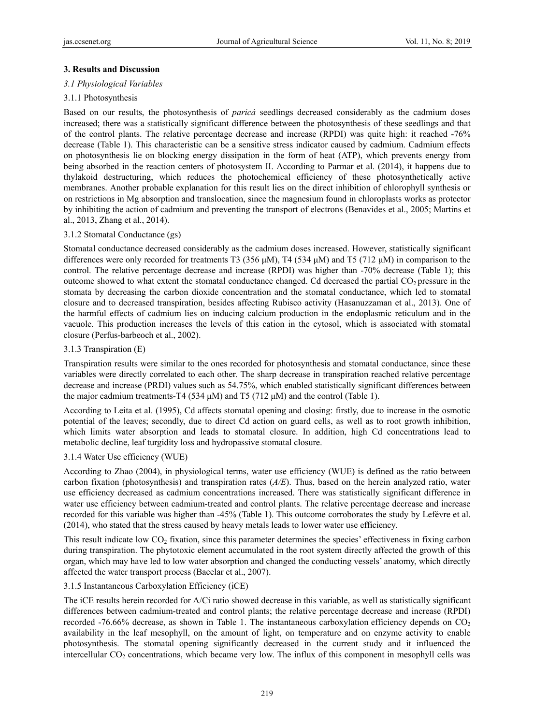## **3. Results and Discussion**

### *3.1 Physiological Variables*

## 3.1.1 Photosynthesis

Based on our results, the photosynthesis of *paricá* seedlings decreased considerably as the cadmium doses increased; there was a statistically significant difference between the photosynthesis of these seedlings and that of the control plants. The relative percentage decrease and increase (RPDI) was quite high: it reached -76% decrease (Table 1). This characteristic can be a sensitive stress indicator caused by cadmium. Cadmium effects on photosynthesis lie on blocking energy dissipation in the form of heat (ATP), which prevents energy from being absorbed in the reaction centers of photosystem II. According to Parmar et al. (2014), it happens due to thylakoid destructuring, which reduces the photochemical efficiency of these photosynthetically active membranes. Another probable explanation for this result lies on the direct inhibition of chlorophyll synthesis or on restrictions in Mg absorption and translocation, since the magnesium found in chloroplasts works as protector by inhibiting the action of cadmium and preventing the transport of electrons (Benavides et al., 2005; Martins et al., 2013, Zhang et al., 2014).

## 3.1.2 Stomatal Conductance (gs)

Stomatal conductance decreased considerably as the cadmium doses increased. However, statistically significant differences were only recorded for treatments T3 (356 μM), T4 (534 μM) and T5 (712 μM) in comparison to the control. The relative percentage decrease and increase (RPDI) was higher than -70% decrease (Table 1); this outcome showed to what extent the stomatal conductance changed. Cd decreased the partial  $CO<sub>2</sub>$  pressure in the stomata by decreasing the carbon dioxide concentration and the stomatal conductance, which led to stomatal closure and to decreased transpiration, besides affecting Rubisco activity (Hasanuzzaman et al., 2013). One of the harmful effects of cadmium lies on inducing calcium production in the endoplasmic reticulum and in the vacuole. This production increases the levels of this cation in the cytosol, which is associated with stomatal closure (Perfus-barbeoch et al., 2002).

#### 3.1.3 Transpiration (E)

Transpiration results were similar to the ones recorded for photosynthesis and stomatal conductance, since these variables were directly correlated to each other. The sharp decrease in transpiration reached relative percentage decrease and increase (PRDI) values such as 54.75%, which enabled statistically significant differences between the major cadmium treatments-T4 (534 μM) and T5 (712 μM) and the control (Table 1).

According to Leita et al. (1995), Cd affects stomatal opening and closing: firstly, due to increase in the osmotic potential of the leaves; secondly, due to direct Cd action on guard cells, as well as to root growth inhibition, which limits water absorption and leads to stomatal closure. In addition, high Cd concentrations lead to metabolic decline, leaf turgidity loss and hydropassive stomatal closure.

#### 3.1.4 Water Use efficiency (WUE)

According to Zhao (2004), in physiological terms, water use efficiency (WUE) is defined as the ratio between carbon fixation (photosynthesis) and transpiration rates (*A/E*). Thus, based on the herein analyzed ratio, water use efficiency decreased as cadmium concentrations increased. There was statistically significant difference in water use efficiency between cadmium-treated and control plants. The relative percentage decrease and increase recorded for this variable was higher than -45% (Table 1). This outcome corroborates the study by Lefévre et al. (2014), who stated that the stress caused by heavy metals leads to lower water use efficiency.

This result indicate low CO<sub>2</sub> fixation, since this parameter determines the species' effectiveness in fixing carbon during transpiration. The phytotoxic element accumulated in the root system directly affected the growth of this organ, which may have led to low water absorption and changed the conducting vessels' anatomy, which directly affected the water transport process (Bacelar et al., 2007).

#### 3.1.5 Instantaneous Carboxylation Efficiency (iCE)

The iCE results herein recorded for A/Ci ratio showed decrease in this variable, as well as statistically significant differences between cadmium-treated and control plants; the relative percentage decrease and increase (RPDI) recorded -76.66% decrease, as shown in Table 1. The instantaneous carboxylation efficiency depends on  $CO<sub>2</sub>$ availability in the leaf mesophyll, on the amount of light, on temperature and on enzyme activity to enable photosynthesis. The stomatal opening significantly decreased in the current study and it influenced the intercellular  $CO<sub>2</sub>$  concentrations, which became very low. The influx of this component in mesophyll cells was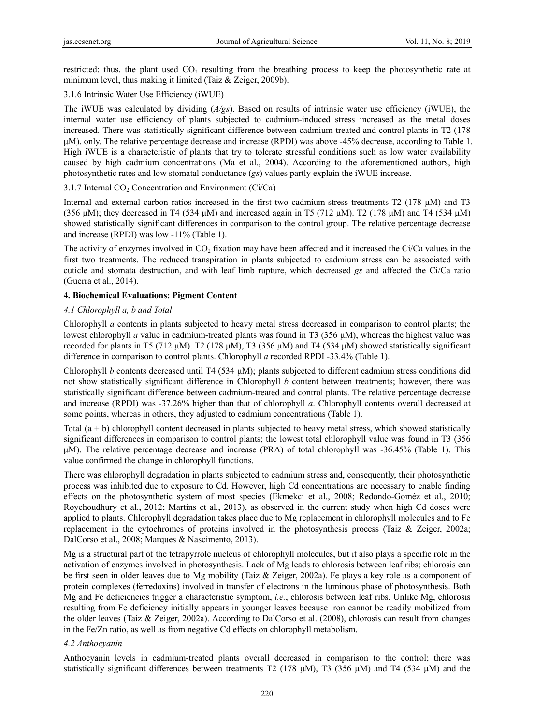restricted; thus, the plant used  $CO<sub>2</sub>$  resulting from the breathing process to keep the photosynthetic rate at minimum level, thus making it limited (Taiz & Zeiger, 2009b).

## 3.1.6 Intrinsic Water Use Efficiency (iWUE)

The iWUE was calculated by dividing (*A/gs*). Based on results of intrinsic water use efficiency (iWUE), the internal water use efficiency of plants subjected to cadmium-induced stress increased as the metal doses increased. There was statistically significant difference between cadmium-treated and control plants in T2 (178 μM), only. The relative percentage decrease and increase (RPDI) was above -45% decrease, according to Table 1. High iWUE is a characteristic of plants that try to tolerate stressful conditions such as low water availability caused by high cadmium concentrations (Ma et al., 2004). According to the aforementioned authors, high photosynthetic rates and low stomatal conductance (*gs*) values partly explain the iWUE increase.

## 3.1.7 Internal  $CO<sub>2</sub>$  Concentration and Environment (Ci/Ca)

Internal and external carbon ratios increased in the first two cadmium-stress treatments-T2 (178 μM) and T3 (356 μM); they decreased in T4 (534 μM) and increased again in T5 (712 μM). T2 (178 μM) and T4 (534 μM) showed statistically significant differences in comparison to the control group. The relative percentage decrease and increase (RPDI) was low -11% (Table 1).

The activity of enzymes involved in  $CO<sub>2</sub>$  fixation may have been affected and it increased the Ci/Ca values in the first two treatments. The reduced transpiration in plants subjected to cadmium stress can be associated with cuticle and stomata destruction, and with leaf limb rupture, which decreased *gs* and affected the Ci/Ca ratio (Guerra et al., 2014).

## **4. Biochemical Evaluations: Pigment Content**

## *4.1 Chlorophyll a, b and Total*

Chlorophyll *a* contents in plants subjected to heavy metal stress decreased in comparison to control plants; the lowest chlorophyll *a* value in cadmium-treated plants was found in T3 (356 μM), whereas the highest value was recorded for plants in T5 (712 μM). T2 (178 μM), T3 (356 μM) and T4 (534 μM) showed statistically significant difference in comparison to control plants. Chlorophyll *a* recorded RPDI -33.4% (Table 1).

Chlorophyll *b* contents decreased until T4 (534 μM); plants subjected to different cadmium stress conditions did not show statistically significant difference in Chlorophyll *b* content between treatments; however, there was statistically significant difference between cadmium-treated and control plants. The relative percentage decrease and increase (RPDI) was -37.26% higher than that of chlorophyll *a*. Chlorophyll contents overall decreased at some points, whereas in others, they adjusted to cadmium concentrations (Table 1).

Total (a + b) chlorophyll content decreased in plants subjected to heavy metal stress, which showed statistically significant differences in comparison to control plants; the lowest total chlorophyll value was found in T3 (356 μM). The relative percentage decrease and increase (PRA) of total chlorophyll was -36.45% (Table 1). This value confirmed the change in chlorophyll functions.

There was chlorophyll degradation in plants subjected to cadmium stress and, consequently, their photosynthetic process was inhibited due to exposure to Cd. However, high Cd concentrations are necessary to enable finding effects on the photosynthetic system of most species (Ekmekci et al., 2008; Redondo-Goméz et al., 2010; Roychoudhury et al., 2012; Martins et al., 2013), as observed in the current study when high Cd doses were applied to plants. Chlorophyll degradation takes place due to Mg replacement in chlorophyll molecules and to Fe replacement in the cytochromes of proteins involved in the photosynthesis process (Taiz & Zeiger, 2002a; DalCorso et al., 2008; Marques & Nascimento, 2013).

Mg is a structural part of the tetrapyrrole nucleus of chlorophyll molecules, but it also plays a specific role in the activation of enzymes involved in photosynthesis. Lack of Mg leads to chlorosis between leaf ribs; chlorosis can be first seen in older leaves due to Mg mobility (Taiz & Zeiger, 2002a). Fe plays a key role as a component of protein complexes (ferredoxins) involved in transfer of electrons in the luminous phase of photosynthesis. Both Mg and Fe deficiencies trigger a characteristic symptom, *i.e.*, chlorosis between leaf ribs. Unlike Mg, chlorosis resulting from Fe deficiency initially appears in younger leaves because iron cannot be readily mobilized from the older leaves (Taiz & Zeiger, 2002a). According to DalCorso et al. (2008), chlorosis can result from changes in the Fe/Zn ratio, as well as from negative Cd effects on chlorophyll metabolism.

#### *4.2 Anthocyanin*

Anthocyanin levels in cadmium-treated plants overall decreased in comparison to the control; there was statistically significant differences between treatments T2 (178 μM), T3 (356 μM) and T4 (534 μM) and the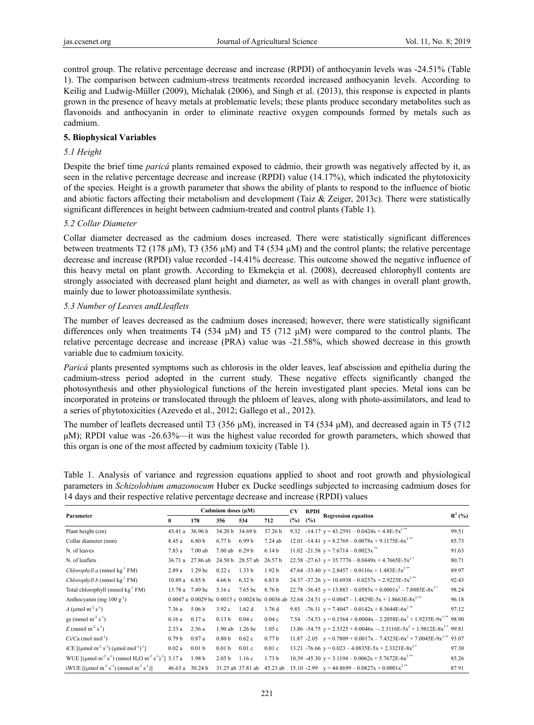control group. The relative percentage decrease and increase (RPDI) of anthocyanin levels was -24.51% (Table 1). The comparison between cadmium-stress treatments recorded increased anthocyanin levels. According to Keilig and Ludwig-Müller (2009), Michalak (2006), and Singh et al. (2013), this response is expected in plants grown in the presence of heavy metals at problematic levels; these plants produce secondary metabolites such as flavonoids and anthocyanin in order to eliminate reactive oxygen compounds formed by metals such as cadmium.

## **5. Biophysical Variables**

## *5.1 Height*

Despite the brief time *paricá* plants remained exposed to cádmio, their growth was negatively affected by it, as seen in the relative percentage decrease and increase (RPDI) value (14.17%), which indicated the phytotoxicity of the species. Height is a growth parameter that shows the ability of plants to respond to the influence of biotic and abiotic factors affecting their metabolism and development (Taiz  $\&$  Zeiger, 2013c). There were statistically significant differences in height between cadmium-treated and control plants (Table 1).

## *5.2 Collar Diameter*

Collar diameter decreased as the cadmium doses increased. There were statistically significant differences between treatments T2 (178 μM), T3 (356 μM) and T4 (534 μM) and the control plants; the relative percentage decrease and increase (RPDI) value recorded -14.41% decrease. This outcome showed the negative influence of this heavy metal on plant growth. According to Ekmekçia et al. (2008), decreased chlorophyll contents are strongly associated with decreased plant height and diameter, as well as with changes in overall plant growth, mainly due to lower photoassimilate synthesis.

## *5.3 Number of Leaves andLleaflets*

The number of leaves decreased as the cadmium doses increased; however, there were statistically significant differences only when treatments T4 (534 μM) and T5 (712 μM) were compared to the control plants. The relative percentage decrease and increase (PRA) value was -21.58%, which showed decrease in this growth variable due to cadmium toxicity.

*Paricá* plants presented symptoms such as chlorosis in the older leaves, leaf abscission and epithelia during the cadmium-stress period adopted in the current study. These negative effects significantly changed the photosynthesis and other physiological functions of the herein investigated plant species. Metal ions can be incorporated in proteins or translocated through the phloem of leaves, along with photo-assimilators, and lead to a series of phytotoxicities (Azevedo et al., 2012; Gallego et al., 2012).

The number of leaflets decreased until T3 (356 μM), increased in T4 (534 μM), and decreased again in T5 (712 μM); RPDI value was -26.63%—it was the highest value recorded for growth parameters, which showed that this organ is one of the most affected by cadmium toxicity (Table 1).

Table 1. Analysis of variance and regression equations applied to shoot and root growth and physiological parameters in *Schizolobium amazonocum* Huber ex Ducke seedlings subjected to increasing cadmium doses for 14 days and their respective relative percentage decrease and increase (RPDI) values

| Parameter                                                                                | Cadmium doses (µM) |                    |                   | <b>CV</b>         | <b>RPDI</b>       |        |     |                                                                                                           |           |
|------------------------------------------------------------------------------------------|--------------------|--------------------|-------------------|-------------------|-------------------|--------|-----|-----------------------------------------------------------------------------------------------------------|-----------|
|                                                                                          | $\mathbf{0}$       | 178                | 356               | 534               | 712               | $(\%)$ | (%) | <b>Regression equation</b>                                                                                | $R^2$ (%) |
| Plant height (cm)                                                                        | 43.41a             | 36.96 b            | 34.20 b 34.69 b   |                   | 37.26 b           |        |     | 9.32 -14.17 $y = 43.2591 - 0.0424x + 4.8E-5x^{2**}$                                                       | 99.51     |
| Collar diameter (mm)                                                                     | 8.45 a             | 6.80 <sub>b</sub>  | 6.77 <sub>b</sub> | 6.99 <sub>b</sub> | $7.24$ ab         |        |     | 12.01 -14.41 $y = 8.2769 - 0.0078x + 9.1175E-6x^{2**}$                                                    | 85.73     |
| N. of leaves                                                                             | 7.83a              | 7.00ab             | 7.00ab            | 6.29 <sub>b</sub> | 6.14 <sub>b</sub> |        |     | 11.02 -21.58 $y = 7.6714 - 0.0023x$                                                                       | 91.63     |
| N. of leaflets                                                                           | 36.71a             | 27.86 ab           | 24.50 b           | 28.57 ab          | 26.57 b           |        |     | 22.58 -27.63 $y = 35.7776 - 0.0449x + 4.7665E - 5x^2$                                                     | 80.71     |
| <i>Chlorophyll a</i> (mmol $kg^{-1} FM$ )                                                | 2.89a              | 1.29 <sub>bc</sub> | 0.22c             | 1.33 <sub>b</sub> | 1.92 <sub>b</sub> |        |     | 47.64 -33.40 $y = 2.8457 - 0.0116x + 1.483E-5x^{2**}$                                                     | 89.97     |
| <i>Chlorophyll b</i> (mmol $kg^{-1} FM$ )                                                | $10.89a$ 6.85 b    |                    | 4.66 <sub>b</sub> | 6.32 <sub>b</sub> | 6.83 <sub>b</sub> |        |     | 24.37 -37.26 $y = 10.6938 - 0.0257x + 2.9225E-5x^{2**}$                                                   | 92.43     |
| Total chlorophyll (mmol kg <sup>-1</sup> FM)                                             | 13.78 a 7.49 bc    |                    | 5.16c             | 7.65 bc           | 8.76 b            |        |     | 22.78 -36.45 $y = 13.883 - 0.0585x + 0.0001x^2 - 7.8885E - 8x^3$                                          | 98.24     |
| Anthocyanin (mg $100 g^{-1}$ )                                                           |                    |                    |                   |                   |                   |        |     | 0.0047 a 0.0029 bc 0.0015 c 0.0024 bc 0.0036 ab 32.64 -24.51 $y = 0.0047 - 1.4829E - 5x + 1.8663E - 8x^2$ | 96.18     |
| A (µmol m <sup>-2</sup> s <sup>-1</sup> )                                                | 7.36a              | 5.06 <sub>b</sub>  | 3.92c             | 1.62d             | 1.76d             |        |     | 9.85 -76.11 $y = 7.4047 - 0.0142x + 8.3644E-6x^{2}$                                                       | 97.12     |
| gs (mmol m <sup>-2</sup> s <sup>-1</sup> )                                               | 0.16a              | 0.17a              | 0.13 <sub>b</sub> | 0.04c             | 0.04c             |        |     | 7.54 -74.53 $y = 0.1564 + 0.0004x - 2.2058E-6x^2 + 1.9235E-9x^{3**}$ 98.90                                |           |
| $E$ (mmol m <sup>-2</sup> s <sup>-1</sup> )                                              | 2.33a              | 2.56a              | $1.90$ ab         | 1.26 <sub>b</sub> | 1.05c             |        |     | 13.86 -54.75 $y = 2.3325 + 0.0046x - 2.3116E - 5x^2 + 1.9812E - 8x^3$ 99.81                               |           |
| $Ci/Ca$ (mol mol <sup>-1</sup> )                                                         | 0.79 <sub>b</sub>  | 0.87a              | 0.80 <sub>b</sub> | 0.62c             | 0.77 <sub>b</sub> |        |     | 11.87 -2.05 $y = 0.7809 + 0.0017x - 7.4323E-6x^2 + 7.0045E-9x^{3**}$ 93.07                                |           |
| iCE $[(\mu \text{mol m}^2 \text{ s}^{-1}) (\mu \text{mol mol}^{-1})^{-1}]$               | 0.02a              | 0.01 <sub>b</sub>  | 0.01 <sub>b</sub> | 0.01c             | 0.01c             |        |     | 13.21 -76.66 $y = 0.023 - 4.0835E-5x + 2.3321E-8x^{2}$                                                    | 97.30     |
| WUE $[(\mu \text{mol m}^2 \text{ s}^3)(\text{mmol H}_2\text{O m}^2 \text{ s}^3)]$ 3.17 a |                    | 1.98 <sub>b</sub>  | 2.05 <sub>b</sub> | 1.16c             | 1.73 <sub>b</sub> |        |     | 10.39 -45.30 $y = 3.1194 - 0.0062x + 5.7672E-6x^{2}$                                                      | 85.26     |
| iWUE $[(\mu \text{mol m}^2 \text{ s}^{-1})(\text{mmol m}^2 \text{ s}^{-1})]$             | $46.63 a$ 30.24 b  |                    |                   | 31.25 ab 37.81 ab | 45.23 ab          |        |     | 15.10 -2.99 $y = 44.8699 - 0.0827x + 0.0001x^{2**}$                                                       | 87.91     |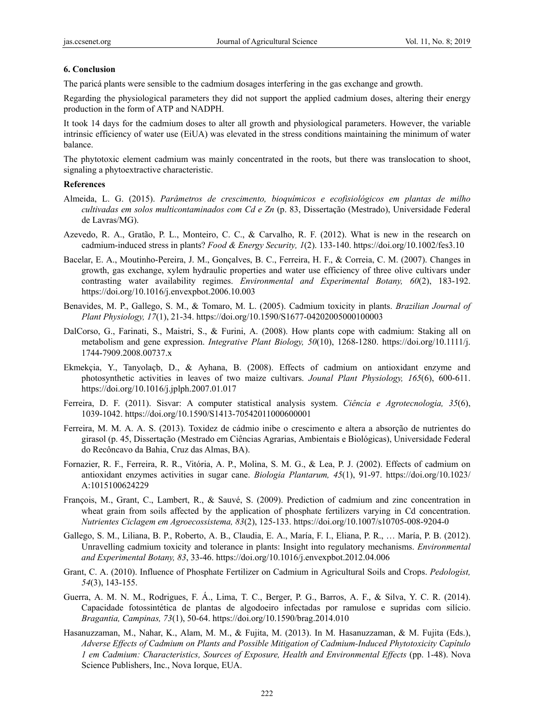#### **6. Conclusion**

The paricá plants were sensible to the cadmium dosages interfering in the gas exchange and growth.

Regarding the physiological parameters they did not support the applied cadmium doses, altering their energy production in the form of ATP and NADPH.

It took 14 days for the cadmium doses to alter all growth and physiological parameters. However, the variable intrinsic efficiency of water use (EiUA) was elevated in the stress conditions maintaining the minimum of water balance.

The phytotoxic element cadmium was mainly concentrated in the roots, but there was translocation to shoot, signaling a phytoextractive characteristic.

#### **References**

- Almeida, L. G. (2015). *Parâmetros de crescimento, bioquímicos e ecofisiológicos em plantas de milho cultivadas em solos multicontaminados com Cd e Zn* (p. 83, Dissertação (Mestrado), Universidade Federal de Lavras/MG).
- Azevedo, R. A., Gratão, P. L., Monteiro, C. C., & Carvalho, R. F. (2012). What is new in the research on cadmium-induced stress in plants? *Food & Energy Security, 1*(2). 133-140. https://doi.org/10.1002/fes3.10
- Bacelar, E. A., Moutinho-Pereira, J. M., Gonçalves, B. C., Ferreira, H. F., & Correia, C. M. (2007). Changes in growth, gas exchange, xylem hydraulic properties and water use efficiency of three olive cultivars under contrasting water availability regimes. *Environmental and Experimental Botany, 60*(2), 183-192. https://doi.org/10.1016/j.envexpbot.2006.10.003
- Benavides, M. P., Gallego, S. M., & Tomaro, M. L. (2005). Cadmium toxicity in plants. *Brazilian Journal of Plant Physiology, 17*(1), 21-34. https://doi.org/10.1590/S1677-04202005000100003
- DalCorso, G., Farinati, S., Maistri, S., & Furini, A. (2008). How plants cope with cadmium: Staking all on metabolism and gene expression. *Integrative Plant Biology, 50*(10), 1268-1280. https://doi.org/10.1111/j. 1744-7909.2008.00737.x
- Ekmekçia, Y., Tanyolaçb, D., & Ayhana, B. (2008). Effects of cadmium on antioxidant enzyme and photosynthetic activities in leaves of two maize cultivars. *Jounal Plant Physiology, 165*(6), 600-611. https://doi.org/10.1016/j.jplph.2007.01.017
- Ferreira, D. F. (2011). Sisvar: A computer statistical analysis system. *Ciência e Agrotecnologia, 35*(6), 1039-1042. https://doi.org/10.1590/S1413-70542011000600001
- Ferreira, M. M. A. A. S. (2013). Toxidez de cádmio inibe o crescimento e altera a absorção de nutrientes do girasol (p. 45, Dissertação (Mestrado em Ciências Agrarias, Ambientais e Biológicas), Universidade Federal do Recôncavo da Bahia, Cruz das Almas, BA).
- Fornazier, R. F., Ferreira, R. R., Vitória, A. P., Molina, S. M. G., & Lea, P. J. (2002). Effects of cadmium on antioxidant enzymes activities in sugar cane. *Biologia Plantarum, 45*(1), 91-97. https://doi.org/10.1023/ A:1015100624229
- François, M., Grant, C., Lambert, R., & Sauvé, S. (2009). Prediction of cadmium and zinc concentration in wheat grain from soils affected by the application of phosphate fertilizers varying in Cd concentration. *Nutrientes Ciclagem em Agroecossistema, 83*(2), 125-133. https://doi.org/10.1007/s10705-008-9204-0
- Gallego, S. M., Liliana, B. P., Roberto, A. B., Claudia, E. A., María, F. I., Eliana, P. R., … María, P. B. (2012). Unravelling cadmium toxicity and tolerance in plants: Insight into regulatory mechanisms. *Environmental and Experimental Botany, 83*, 33-46. https://doi.org/10.1016/j.envexpbot.2012.04.006
- Grant, C. A. (2010). Influence of Phosphate Fertilizer on Cadmium in Agricultural Soils and Crops. *Pedologist, 54*(3), 143-155.
- Guerra, A. M. N. M., Rodrigues, F. Á., Lima, T. C., Berger, P. G., Barros, A. F., & Silva, Y. C. R. (2014). Capacidade fotossintética de plantas de algodoeiro infectadas por ramulose e supridas com silício. *Bragantia, Campinas, 73*(1), 50-64. https://doi.org/10.1590/brag.2014.010
- Hasanuzzaman, M., Nahar, K., Alam, M. M., & Fujita, M. (2013). In M. Hasanuzzaman, & M. Fujita (Eds.), *Adverse Effects of Cadmium on Plants and Possible Mitigation of Cadmium-Induced Phytotoxicity Capítulo 1 em Cadmium: Characteristics, Sources of Exposure, Health and Environmental Effects* (pp. 1-48). Nova Science Publishers, Inc., Nova Iorque, EUA.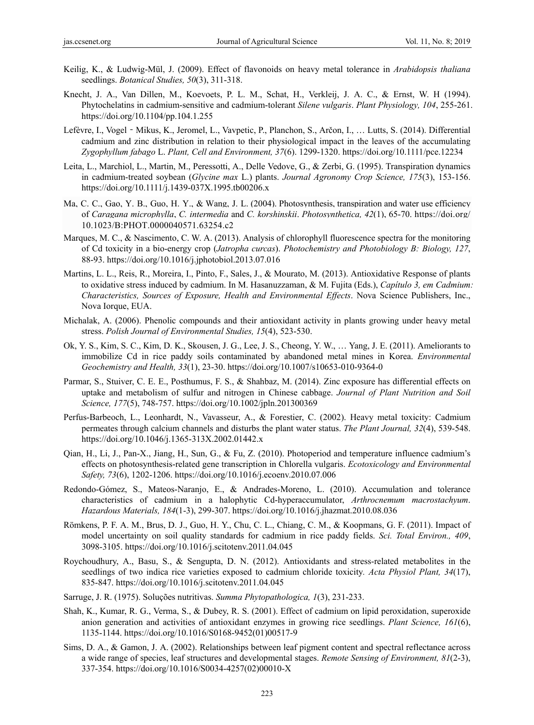- Keilig, K., & Ludwig-Mül, J. (2009). Effect of flavonoids on heavy metal tolerance in *Arabidopsis thaliana* seedlings. *Botanical Studies, 50*(3), 311-318.
- Knecht, J. A., Van Dillen, M., Koevoets, P. L. M., Schat, H., Verkleij, J. A. C., & Ernst, W. H (1994). Phytochelatins in cadmium-sensitive and cadmium-tolerant *Silene vulgaris*. *Plant Physiology, 104*, 255-261. https://doi.org/10.1104/pp.104.1.255
- Lefèvre, I., Vogel Mikus, K., Jeromel, L., Vavpetic, P., Planchon, S., Arčon, I., … Lutts, S. (2014). Differential cadmium and zinc distribution in relation to their physiological impact in the leaves of the accumulating *Zygophyllum fabago* L. *Plant, Cell and Environment, 37*(6). 1299-1320. https://doi.org/10.1111/pce.12234
- Leita, L., Marchiol, L., Martin, M., Peressotti, A., Delle Vedove, G., & Zerbi, G. (1995). Transpiration dynamics in cadmium-treated soybean (*Glycine max* L.) plants. *Journal Agronomy Crop Science, 175*(3), 153-156. https://doi.org/10.1111/j.1439-037X.1995.tb00206.x
- Ma, C. C., Gao, Y. B., Guo, H. Y., & Wang, J. L. (2004). Photosynthesis, transpiration and water use efficiency of *Caragana microphylla*, *C. intermedia* and *C. korshinskii*. *Photosynthetica, 42*(1), 65-70. https://doi.org/ 10.1023/B:PHOT.0000040571.63254.c2
- Marques, M. C., & Nascimento, C. W. A. (2013). Analysis of chlorophyll fluorescence spectra for the monitoring of Cd toxicity in a bio-energy crop (*Jatropha curcas*). *Photochemistry and Photobiology B: Biology, 127*, 88-93. https://doi.org/10.1016/j.jphotobiol.2013.07.016
- Martins, L. L., Reis, R., Moreira, I., Pinto, F., Sales, J., & Mourato, M. (2013). Antioxidative Response of plants to oxidative stress induced by cadmium. In M. Hasanuzzaman, & M. Fujita (Eds.), *Capítulo 3, em Cadmium: Characteristics, Sources of Exposure, Health and Environmental Effects*. Nova Science Publishers, Inc., Nova Iorque, EUA.
- Michalak, A. (2006). Phenolic compounds and their antioxidant activity in plants growing under heavy metal stress. *Polish Journal of Environmental Studies, 15*(4), 523-530.
- Ok, Y. S., Kim, S. C., Kim, D. K., Skousen, J. G., Lee, J. S., Cheong, Y. W., … Yang, J. E. (2011). Ameliorants to immobilize Cd in rice paddy soils contaminated by abandoned metal mines in Korea. *Environmental Geochemistry and Health, 33*(1), 23-30. https://doi.org/10.1007/s10653-010-9364-0
- Parmar, S., Stuiver, C. E. E., Posthumus, F. S., & Shahbaz, M. (2014). Zinc exposure has differential effects on uptake and metabolism of sulfur and nitrogen in Chinese cabbage. *Journal of Plant Nutrition and Soil Science, 177*(5), 748-757. https://doi.org/10.1002/jpln.201300369
- Perfus-Barbeoch, L., Leonhardt, N., Vavasseur, A., & Forestier, C. (2002). Heavy metal toxicity: Cadmium permeates through calcium channels and disturbs the plant water status. *The Plant Journal, 32*(4), 539-548. https://doi.org/10.1046/j.1365-313X.2002.01442.x
- Qian, H., Li, J., Pan-X., Jiang, H., Sun, G., & Fu, Z. (2010). Photoperiod and temperature influence cadmium's effects on photosynthesis-related gene transcription in Chlorella vulgaris. *Ecotoxicology and Environmental Safety, 73*(6), 1202-1206. https://doi.org/10.1016/j.ecoenv.2010.07.006
- Redondo-Gómez, S., Mateos-Naranjo, E., & Andrades-Moreno, L. (2010). Accumulation and tolerance characteristics of cadmium in a halophytic Cd-hyperaccumulator, *Arthrocnemum macrostachyum*. *Hazardous Materials, 184*(1-3), 299-307. https://doi.org/10.1016/j.jhazmat.2010.08.036
- Römkens, P. F. A. M., Brus, D. J., Guo, H. Y., Chu, C. L., Chiang, C. M., & Koopmans, G. F. (2011). Impact of model uncertainty on soil quality standards for cadmium in rice paddy fields. *Sci. Total Environ., 409*, 3098-3105. https://doi.org/10.1016/j.scitotenv.2011.04.045
- Roychoudhury, A., Basu, S., & Sengupta, D. N. (2012). Antioxidants and stress-related metabolites in the seedlings of two indica rice varieties exposed to cadmium chloride toxicity*. Acta Physiol Plant, 34*(17), 835-847. https://doi.org/10.1016/j.scitotenv.2011.04.045
- Sarruge, J. R. (1975). Soluções nutritivas. *Summa Phytopathologica, 1*(3), 231-233.
- Shah, K., Kumar, R. G., Verma, S., & Dubey, R. S. (2001). Effect of cadmium on lipid peroxidation, superoxide anion generation and activities of antioxidant enzymes in growing rice seedlings. *Plant Science, 161*(6), 1135-1144. https://doi.org/10.1016/S0168-9452(01)00517-9
- Sims, D. A., & Gamon, J. A. (2002). Relationships between leaf pigment content and spectral reflectance across a wide range of species, leaf structures and developmental stages. *Remote Sensing of Environment, 81*(2-3), 337-354. https://doi.org/10.1016/S0034-4257(02)00010-X